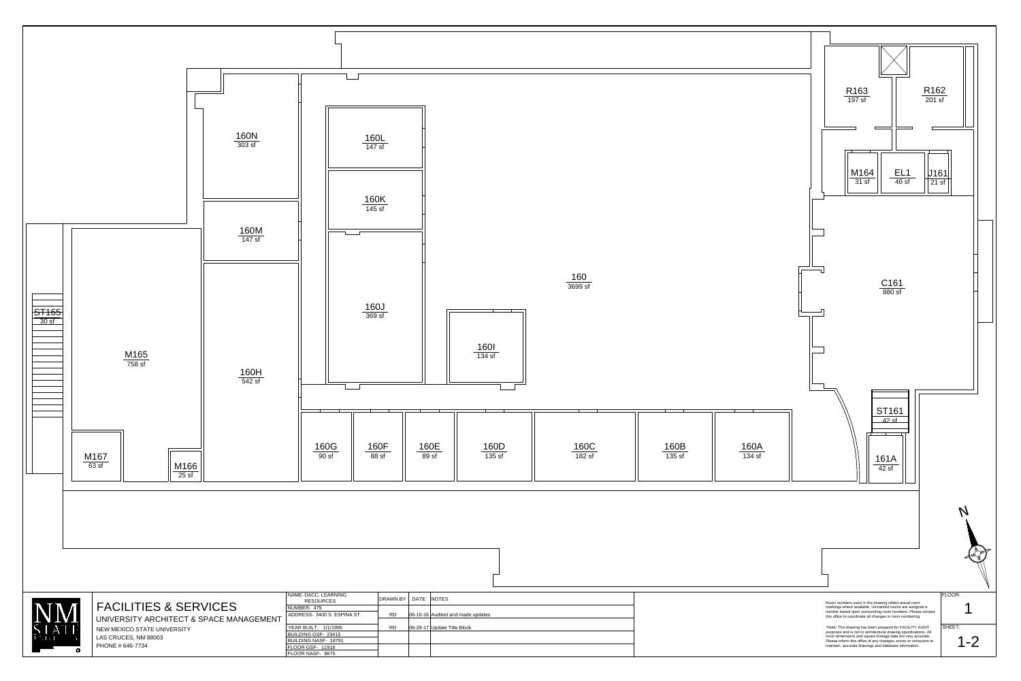

|                            |                                         | NAME-DACC, LEARNING<br><b>RESOURCES</b> | DRAWN BY   DATE   NOTES |                                       |
|----------------------------|-----------------------------------------|-----------------------------------------|-------------------------|---------------------------------------|
| NM                         | <b>FACILITIES &amp; SERVICES</b>        | NUMBER-479                              |                         |                                       |
|                            | UNIVERSITY ARCHITECT & SPACE MANAGEMENT | ADDRESS- 3400 S. ESPINA ST.             | RD                      | $ 06-16-16 $ Audited and made updates |
|                            |                                         |                                         |                         |                                       |
|                            | NEW MEXICO STATE UNIVERSITY             | <b>YEAR BUILT- 1/1/1995</b>             | RD.                     | $ 08-29-17 $ Update Title Block       |
| <b>STATE</b><br>UNIVERSITY | LAS CRUCES, NM 88003                    | <b>BUILDING GSF-23415</b>               |                         |                                       |
|                            |                                         | BUILDING NASF- 18791                    |                         |                                       |
|                            | PHONE # 646-7734                        | <b>FLOOR GSF- 11918</b>                 |                         |                                       |
|                            |                                         | FLOOR NASF- 8675                        |                         |                                       |